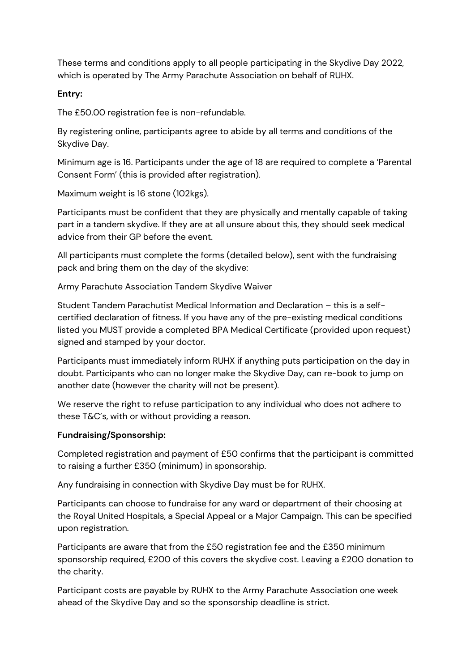These terms and conditions apply to all people participating in the Skydive Day 2022, which is operated by The Army Parachute Association on behalf of RUHX.

## **Entry:**

The £50.00 registration fee is non-refundable.

By registering online, participants agree to abide by all terms and conditions of the Skydive Day.

Minimum age is 16. Participants under the age of 18 are required to complete a 'Parental Consent Form' (this is provided after registration).

Maximum weight is 16 stone (102kgs).

Participants must be confident that they are physically and mentally capable of taking part in a tandem skydive. If they are at all unsure about this, they should seek medical advice from their GP before the event.

All participants must complete the forms (detailed below), sent with the fundraising pack and bring them on the day of the skydive:

Army Parachute Association Tandem Skydive Waiver

Student Tandem Parachutist Medical Information and Declaration – this is a selfcertified declaration of fitness. If you have any of the pre-existing medical conditions listed you MUST provide a completed BPA Medical Certificate (provided upon request) signed and stamped by your doctor.

Participants must immediately inform RUHX if anything puts participation on the day in doubt. Participants who can no longer make the Skydive Day, can re-book to jump on another date (however the charity will not be present).

We reserve the right to refuse participation to any individual who does not adhere to these T&C's, with or without providing a reason.

## **Fundraising/Sponsorship:**

Completed registration and payment of £50 confirms that the participant is committed to raising a further £350 (minimum) in sponsorship.

Any fundraising in connection with Skydive Day must be for RUHX.

Participants can choose to fundraise for any ward or department of their choosing at the Royal United Hospitals, a Special Appeal or a Major Campaign. This can be specified upon registration.

Participants are aware that from the £50 registration fee and the £350 minimum sponsorship required, £200 of this covers the skydive cost. Leaving a £200 donation to the charity.

Participant costs are payable by RUHX to the Army Parachute Association one week ahead of the Skydive Day and so the sponsorship deadline is strict.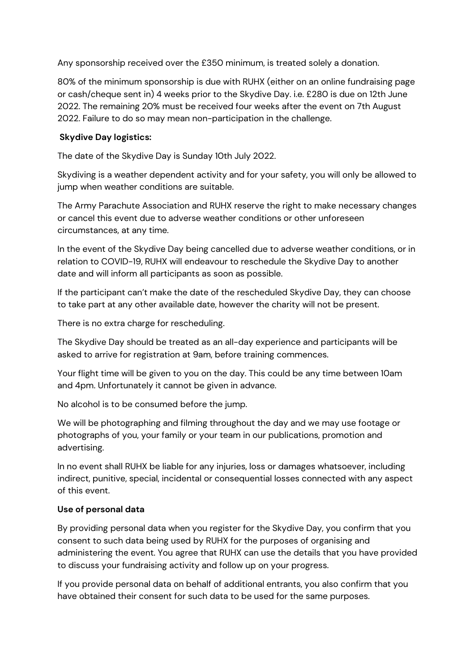Any sponsorship received over the £350 minimum, is treated solely a donation.

80% of the minimum sponsorship is due with RUHX (either on an online fundraising page or cash/cheque sent in) 4 weeks prior to the Skydive Day. i.e. £280 is due on 12th June 2022. The remaining 20% must be received four weeks after the event on 7th August 2022. Failure to do so may mean non-participation in the challenge.

## **Skydive Day logistics:**

The date of the Skydive Day is Sunday 10th July 2022.

Skydiving is a weather dependent activity and for your safety, you will only be allowed to jump when weather conditions are suitable.

The Army Parachute Association and RUHX reserve the right to make necessary changes or cancel this event due to adverse weather conditions or other unforeseen circumstances, at any time.

In the event of the Skydive Day being cancelled due to adverse weather conditions, or in relation to COVID-19, RUHX will endeavour to reschedule the Skydive Day to another date and will inform all participants as soon as possible.

If the participant can't make the date of the rescheduled Skydive Day, they can choose to take part at any other available date, however the charity will not be present.

There is no extra charge for rescheduling.

The Skydive Day should be treated as an all-day experience and participants will be asked to arrive for registration at 9am, before training commences.

Your flight time will be given to you on the day. This could be any time between 10am and 4pm. Unfortunately it cannot be given in advance.

No alcohol is to be consumed before the jump.

We will be photographing and filming throughout the day and we may use footage or photographs of you, your family or your team in our publications, promotion and advertising.

In no event shall RUHX be liable for any injuries, loss or damages whatsoever, including indirect, punitive, special, incidental or consequential losses connected with any aspect of this event.

## **Use of personal data**

By providing personal data when you register for the Skydive Day, you confirm that you consent to such data being used by RUHX for the purposes of organising and administering the event. You agree that RUHX can use the details that you have provided to discuss your fundraising activity and follow up on your progress.

If you provide personal data on behalf of additional entrants, you also confirm that you have obtained their consent for such data to be used for the same purposes.